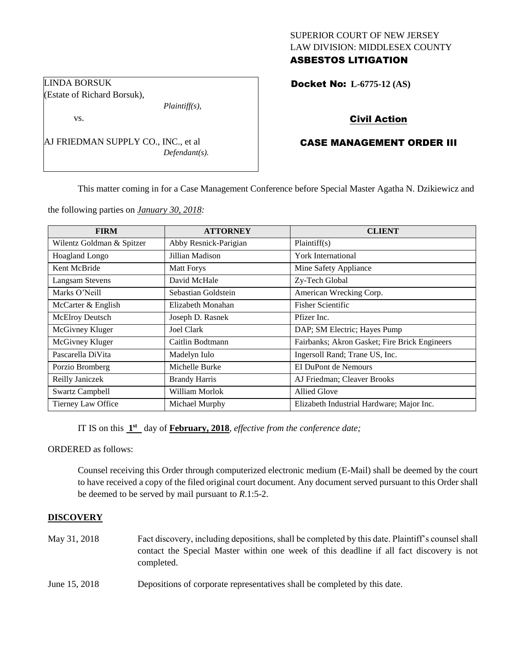# SUPERIOR COURT OF NEW JERSEY LAW DIVISION: MIDDLESEX COUNTY ASBESTOS LITIGATION

Docket No: **L-6775-12 (AS)** 

# Civil Action

# CASE MANAGEMENT ORDER III

This matter coming in for a Case Management Conference before Special Master Agatha N. Dzikiewicz and

the following parties on *January 30, 2018:*

AJ FRIEDMAN SUPPLY CO., INC., et al

*Plaintiff(s),*

*Defendant(s).*

| <b>FIRM</b>               | <b>ATTORNEY</b>       | <b>CLIENT</b>                                 |
|---------------------------|-----------------------|-----------------------------------------------|
| Wilentz Goldman & Spitzer | Abby Resnick-Parigian | Plaintiff(s)                                  |
| <b>Hoagland Longo</b>     | Jillian Madison       | York International                            |
| Kent McBride              | <b>Matt Forys</b>     | Mine Safety Appliance                         |
| <b>Langsam Stevens</b>    | David McHale          | Zy-Tech Global                                |
| Marks O'Neill             | Sebastian Goldstein   | American Wrecking Corp.                       |
| McCarter & English        | Elizabeth Monahan     | <b>Fisher Scientific</b>                      |
| McElroy Deutsch           | Joseph D. Rasnek      | Pfizer Inc.                                   |
| McGivney Kluger           | Joel Clark            | DAP; SM Electric; Hayes Pump                  |
| McGivney Kluger           | Caitlin Bodtmann      | Fairbanks; Akron Gasket; Fire Brick Engineers |
| Pascarella DiVita         | Madelyn Iulo          | Ingersoll Rand; Trane US, Inc.                |
| Porzio Bromberg           | Michelle Burke        | EI DuPont de Nemours                          |
| Reilly Janiczek           | <b>Brandy Harris</b>  | AJ Friedman; Cleaver Brooks                   |
| <b>Swartz Campbell</b>    | William Morlok        | <b>Allied Glove</b>                           |
| Tierney Law Office        | Michael Murphy        | Elizabeth Industrial Hardware; Major Inc.     |

IT IS on this  $1<sup>st</sup>$  day of **February, 2018**, *effective from the conference date*;

ORDERED as follows:

Counsel receiving this Order through computerized electronic medium (E-Mail) shall be deemed by the court to have received a copy of the filed original court document. Any document served pursuant to this Order shall be deemed to be served by mail pursuant to *R*.1:5-2.

# **DISCOVERY**

- May 31, 2018 Fact discovery, including depositions, shall be completed by this date. Plaintiff's counsel shall contact the Special Master within one week of this deadline if all fact discovery is not completed.
- June 15, 2018 Depositions of corporate representatives shall be completed by this date.

LINDA BORSUK (Estate of Richard Borsuk),

vs.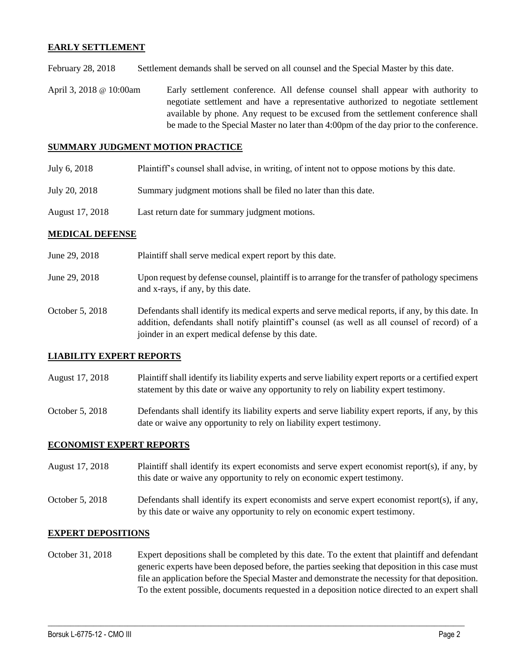#### **EARLY SETTLEMENT**

February 28, 2018 Settlement demands shall be served on all counsel and the Special Master by this date.

April 3, 2018 @ 10:00am Early settlement conference. All defense counsel shall appear with authority to negotiate settlement and have a representative authorized to negotiate settlement available by phone. Any request to be excused from the settlement conference shall be made to the Special Master no later than 4:00pm of the day prior to the conference.

#### **SUMMARY JUDGMENT MOTION PRACTICE**

- July 6, 2018 Plaintiff's counsel shall advise, in writing, of intent not to oppose motions by this date.
- July 20, 2018 Summary judgment motions shall be filed no later than this date.
- August 17, 2018 Last return date for summary judgment motions.

### **MEDICAL DEFENSE**

- June 29, 2018 Plaintiff shall serve medical expert report by this date.
- June 29, 2018 Upon request by defense counsel, plaintiff is to arrange for the transfer of pathology specimens and x-rays, if any, by this date.
- October 5, 2018 Defendants shall identify its medical experts and serve medical reports, if any, by this date. In addition, defendants shall notify plaintiff's counsel (as well as all counsel of record) of a joinder in an expert medical defense by this date.

# **LIABILITY EXPERT REPORTS**

- August 17, 2018 Plaintiff shall identify its liability experts and serve liability expert reports or a certified expert statement by this date or waive any opportunity to rely on liability expert testimony.
- October 5, 2018 Defendants shall identify its liability experts and serve liability expert reports, if any, by this date or waive any opportunity to rely on liability expert testimony.

#### **ECONOMIST EXPERT REPORTS**

- August 17, 2018 Plaintiff shall identify its expert economists and serve expert economist report(s), if any, by this date or waive any opportunity to rely on economic expert testimony.
- October 5, 2018 Defendants shall identify its expert economists and serve expert economist report(s), if any, by this date or waive any opportunity to rely on economic expert testimony.

#### **EXPERT DEPOSITIONS**

October 31, 2018 Expert depositions shall be completed by this date. To the extent that plaintiff and defendant generic experts have been deposed before, the parties seeking that deposition in this case must file an application before the Special Master and demonstrate the necessity for that deposition. To the extent possible, documents requested in a deposition notice directed to an expert shall

 $\_$  ,  $\_$  ,  $\_$  ,  $\_$  ,  $\_$  ,  $\_$  ,  $\_$  ,  $\_$  ,  $\_$  ,  $\_$  ,  $\_$  ,  $\_$  ,  $\_$  ,  $\_$  ,  $\_$  ,  $\_$  ,  $\_$  ,  $\_$  ,  $\_$  ,  $\_$  ,  $\_$  ,  $\_$  ,  $\_$  ,  $\_$  ,  $\_$  ,  $\_$  ,  $\_$  ,  $\_$  ,  $\_$  ,  $\_$  ,  $\_$  ,  $\_$  ,  $\_$  ,  $\_$  ,  $\_$  ,  $\_$  ,  $\_$  ,